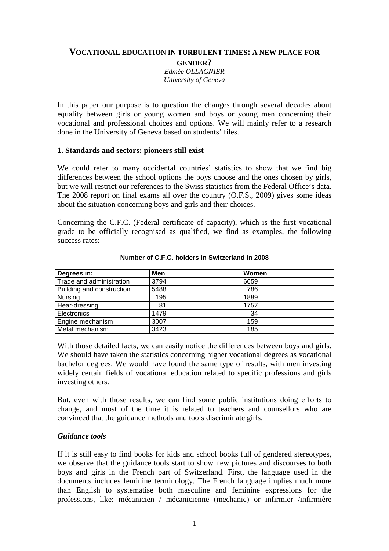## **VOCATIONAL EDUCATION IN TURBULENT TIMES: A NEW PLACE FOR GENDER?**

*Edmée OLLAGNIER University of Geneva*

In this paper our purpose is to question the changes through several decades about equality between girls or young women and boys or young men concerning their vocational and professional choices and options. We will mainly refer to a research done in the University of Geneva based on students' files.

### **1. Standards and sectors: pioneers still exist**

We could refer to many occidental countries' statistics to show that we find big differences between the school options the boys choose and the ones chosen by girls, but we will restrict our references to the Swiss statistics from the Federal Office's data. The 2008 report on final exams all over the country (O.F.S., 2009) gives some ideas about the situation concerning boys and girls and their choices.

Concerning the C.F.C. (Federal certificate of capacity), which is the first vocational grade to be officially recognised as qualified, we find as examples, the following success rates:

| Degrees in:               | Men  | Women |  |
|---------------------------|------|-------|--|
| Trade and administration  | 3794 | 6659  |  |
| Building and construction | 5488 | 786   |  |
| Nursing                   | 195  | 1889  |  |
| Hear-dressing             | 81   | 1757  |  |
| Electronics               | 1479 | 34    |  |
| Engine mechanism          | 3007 | 159   |  |
| Metal mechanism           | 3423 | 185   |  |

#### **Number of C.F.C. holders in Switzerland in 2008**

With those detailed facts, we can easily notice the differences between boys and girls. We should have taken the statistics concerning higher vocational degrees as vocational bachelor degrees. We would have found the same type of results, with men investing widely certain fields of vocational education related to specific professions and girls investing others.

But, even with those results, we can find some public institutions doing efforts to change, and most of the time it is related to teachers and counsellors who are convinced that the guidance methods and tools discriminate girls.

### *Guidance tools*

If it is still easy to find books for kids and school books full of gendered stereotypes, we observe that the guidance tools start to show new pictures and discourses to both boys and girls in the French part of Switzerland. First, the language used in the documents includes feminine terminology. The French language implies much more than English to systematise both masculine and feminine expressions for the professions, like: mécanicien / mécanicienne (mechanic) or infirmier /infirmière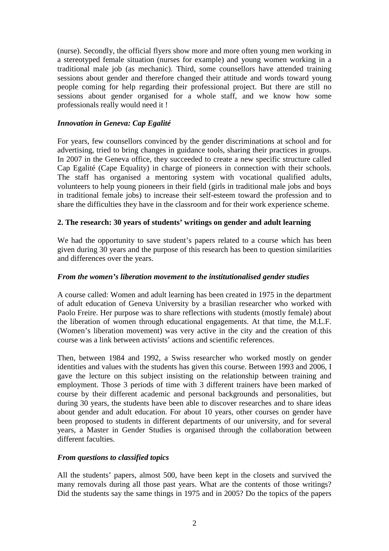(nurse). Secondly, the official flyers show more and more often young men working in a stereotyped female situation (nurses for example) and young women working in a traditional male job (as mechanic). Third, some counsellors have attended training sessions about gender and therefore changed their attitude and words toward young people coming for help regarding their professional project. But there are still no sessions about gender organised for a whole staff, and we know how some professionals really would need it !

## *Innovation in Geneva: Cap Egalité*

For years, few counsellors convinced by the gender discriminations at school and for advertising, tried to bring changes in guidance tools, sharing their practices in groups. In 2007 in the Geneva office, they succeeded to create a new specific structure called Cap Egalité (Cape Equality) in charge of pioneers in connection with their schools. The staff has organised a mentoring system with vocational qualified adults, volunteers to help young pioneers in their field (girls in traditional male jobs and boys in traditional female jobs) to increase their self-esteem toward the profession and to share the difficulties they have in the classroom and for their work experience scheme.

### **2. The research: 30 years of students' writings on gender and adult learning**

We had the opportunity to save student's papers related to a course which has been given during 30 years and the purpose of this research has been to question similarities and differences over the years.

### *From the women's liberation movement to the institutionalised gender studies*

A course called: Women and adult learning has been created in 1975 in the department of adult education of Geneva University by a brasilian researcher who worked with Paolo Freire. Her purpose was to share reflections with students (mostly female) about the liberation of women through educational engagements. At that time, the M.L.F. (Women's liberation movement) was very active in the city and the creation of this course was a link between activists' actions and scientific references.

Then, between 1984 and 1992, a Swiss researcher who worked mostly on gender identities and values with the students has given this course. Between 1993 and 2006, I gave the lecture on this subject insisting on the relationship between training and employment. Those 3 periods of time with 3 different trainers have been marked of course by their different academic and personal backgrounds and personalities, but during 30 years, the students have been able to discover researches and to share ideas about gender and adult education. For about 10 years, other courses on gender have been proposed to students in different departments of our university, and for several years, a Master in Gender Studies is organised through the collaboration between different faculties.

### *From questions to classified topics*

All the students' papers, almost 500, have been kept in the closets and survived the many removals during all those past years. What are the contents of those writings? Did the students say the same things in 1975 and in 2005? Do the topics of the papers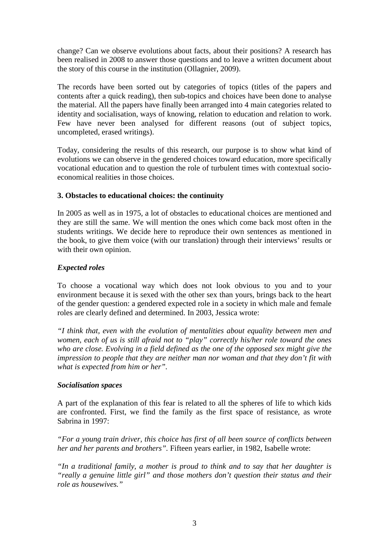change? Can we observe evolutions about facts, about their positions? A research has been realised in 2008 to answer those questions and to leave a written document about the story of this course in the institution (Ollagnier, 2009).

The records have been sorted out by categories of topics (titles of the papers and contents after a quick reading), then sub-topics and choices have been done to analyse the material. All the papers have finally been arranged into 4 main categories related to identity and socialisation, ways of knowing, relation to education and relation to work. Few have never been analysed for different reasons (out of subject topics, uncompleted, erased writings).

Today, considering the results of this research, our purpose is to show what kind of evolutions we can observe in the gendered choices toward education, more specifically vocational education and to question the role of turbulent times with contextual socioeconomical realities in those choices.

# **3. Obstacles to educational choices: the continuity**

In 2005 as well as in 1975, a lot of obstacles to educational choices are mentioned and they are still the same. We will mention the ones which come back most often in the students writings. We decide here to reproduce their own sentences as mentioned in the book, to give them voice (with our translation) through their interviews' results or with their own opinion.

# *Expected roles*

To choose a vocational way which does not look obvious to you and to your environment because it is sexed with the other sex than yours, brings back to the heart of the gender question: a gendered expected role in a society in which male and female roles are clearly defined and determined. In 2003, Jessica wrote:

*"I think that, even with the evolution of mentalities about equality between men and women, each of us is still afraid not to "play" correctly his/her role toward the ones who are close. Evolving in a field defined as the one of the opposed sex might give the impression to people that they are neither man nor woman and that they don't fit with what is expected from him or her".* 

### *Socialisation spaces*

A part of the explanation of this fear is related to all the spheres of life to which kids are confronted. First, we find the family as the first space of resistance, as wrote Sabrina in 1997:

*"For a young train driver, this choice has first of all been source of conflicts between her and her parents and brothers".* Fifteen years earlier, in 1982, Isabelle wrote:

*"In a traditional family, a mother is proud to think and to say that her daughter is "really a genuine little girl" and those mothers don't question their status and their role as housewives."*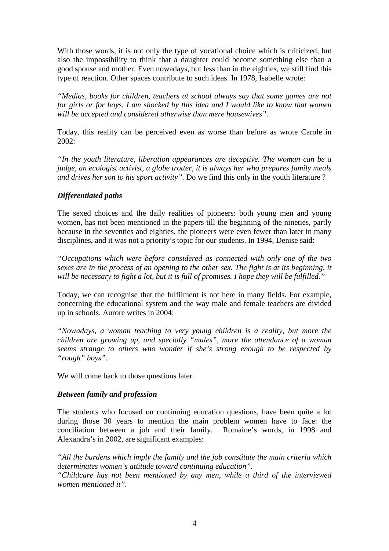With those words, it is not only the type of vocational choice which is criticized, but also the impossibility to think that a daughter could become something else than a good spouse and mother. Even nowadays, but less than in the eighties, we still find this type of reaction. Other spaces contribute to such ideas. In 1978, Isabelle wrote:

*"Medias, books for children, teachers at school always say that some games are not for girls or for boys. I am shocked by this idea and I would like to know that women will be accepted and considered otherwise than mere housewives".* 

Today, this reality can be perceived even as worse than before as wrote Carole in  $2002:$ 

*"In the youth literature, liberation appearances are deceptive. The woman can be a judge, an ecologist activist, a globe trotter, it is always her who prepares family meals and drives her son to his sport activity".* Do we find this only in the youth literature ?

### *Differentiated paths*

The sexed choices and the daily realities of pioneers: both young men and young women, has not been mentioned in the papers till the beginning of the nineties, partly because in the seventies and eighties, the pioneers were even fewer than later in many disciplines, and it was not a priority's topic for our students. In 1994, Denise said:

*"Occupations which were before considered as connected with only one of the two sexes are in the process of an opening to the other sex. The fight is at its beginning, it will be necessary to fight a lot, but it is full of promises. I hope they will be fulfilled."* 

Today, we can recognise that the fulfilment is not here in many fields. For example, concerning the educational system and the way male and female teachers are divided up in schools, Aurore writes in 2004:

*"Nowadays, a woman teaching to very young children is a reality, but more the children are growing up, and specially "males", more the attendance of a woman seems strange to others who wonder if she's strong enough to be respected by "rough" boys".* 

We will come back to those questions later.

### *Between family and profession*

The students who focused on continuing education questions, have been quite a lot during those 30 years to mention the main problem women have to face: the conciliation between a job and their family. Romaine's words, in 1998 and Alexandra's in 2002, are significant examples:

*"All the burdens which imply the family and the job constitute the main criteria which determinates women's attitude toward continuing education".* 

*"Childcare has not been mentioned by any men, while a third of the interviewed women mentioned it".*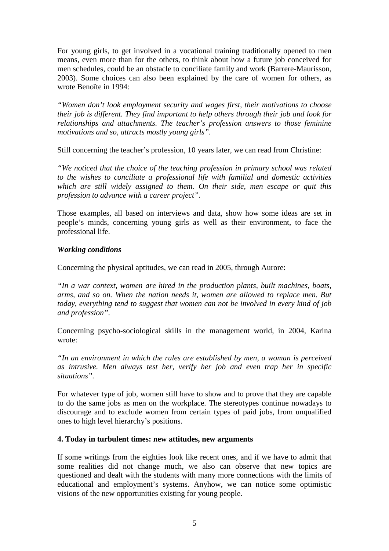For young girls, to get involved in a vocational training traditionally opened to men means, even more than for the others, to think about how a future job conceived for men schedules, could be an obstacle to conciliate family and work (Barrere-Maurisson, 2003). Some choices can also been explained by the care of women for others, as wrote Benoîte in 1994:

*"Women don't look employment security and wages first, their motivations to choose their job is different. They find important to help others through their job and look for relationships and attachments. The teacher's profession answers to those feminine motivations and so, attracts mostly young girls".* 

Still concerning the teacher's profession, 10 years later, we can read from Christine:

*"We noticed that the choice of the teaching profession in primary school was related to the wishes to conciliate a professional life with familial and domestic activities which are still widely assigned to them. On their side, men escape or quit this profession to advance with a career project".* 

Those examples, all based on interviews and data, show how some ideas are set in people's minds, concerning young girls as well as their environment, to face the professional life.

### *Working conditions*

Concerning the physical aptitudes, we can read in 2005, through Aurore:

*"In a war context, women are hired in the production plants, built machines, boats, arms, and so on. When the nation needs it, women are allowed to replace men. But today, everything tend to suggest that women can not be involved in every kind of job and profession".* 

Concerning psycho-sociological skills in the management world, in 2004, Karina wrote:

*"In an environment in which the rules are established by men, a woman is perceived as intrusive. Men always test her, verify her job and even trap her in specific situations".* 

For whatever type of job, women still have to show and to prove that they are capable to do the same jobs as men on the workplace. The stereotypes continue nowadays to discourage and to exclude women from certain types of paid jobs, from unqualified ones to high level hierarchy's positions.

### **4. Today in turbulent times: new attitudes, new arguments**

If some writings from the eighties look like recent ones, and if we have to admit that some realities did not change much, we also can observe that new topics are questioned and dealt with the students with many more connections with the limits of educational and employment's systems. Anyhow, we can notice some optimistic visions of the new opportunities existing for young people.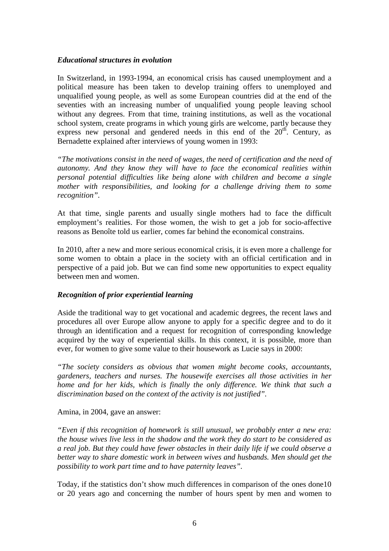#### *Educational structures in evolution*

In Switzerland, in 1993-1994, an economical crisis has caused unemployment and a political measure has been taken to develop training offers to unemployed and unqualified young people, as well as some European countries did at the end of the seventies with an increasing number of unqualified young people leaving school without any degrees. From that time, training institutions, as well as the vocational school system, create programs in which young girls are welcome, partly because they express new personal and gendered needs in this end of the  $20<sup>th</sup>$ . Century, as Bernadette explained after interviews of young women in 1993:

*"The motivations consist in the need of wages, the need of certification and the need of autonomy. And they know they will have to face the economical realities within personal potential difficulties like being alone with children and become a single mother with responsibilities, and looking for a challenge driving them to some recognition".* 

At that time, single parents and usually single mothers had to face the difficult employment's realities. For those women, the wish to get a job for socio-affective reasons as Benoîte told us earlier, comes far behind the economical constrains.

In 2010, after a new and more serious economical crisis, it is even more a challenge for some women to obtain a place in the society with an official certification and in perspective of a paid job. But we can find some new opportunities to expect equality between men and women.

### *Recognition of prior experiential learning*

Aside the traditional way to get vocational and academic degrees, the recent laws and procedures all over Europe allow anyone to apply for a specific degree and to do it through an identification and a request for recognition of corresponding knowledge acquired by the way of experiential skills. In this context, it is possible, more than ever, for women to give some value to their housework as Lucie says in 2000:

*"The society considers as obvious that women might become cooks, accountants, gardeners, teachers and nurses. The housewife exercises all those activities in her home and for her kids, which is finally the only difference. We think that such a discrimination based on the context of the activity is not justified".* 

### Amina, in 2004, gave an answer:

*"Even if this recognition of homework is still unusual, we probably enter a new era: the house wives live less in the shadow and the work they do start to be considered as a real job. But they could have fewer obstacles in their daily life if we could observe a better way to share domestic work in between wives and husbands. Men should get the possibility to work part time and to have paternity leaves".* 

Today, if the statistics don't show much differences in comparison of the ones done10 or 20 years ago and concerning the number of hours spent by men and women to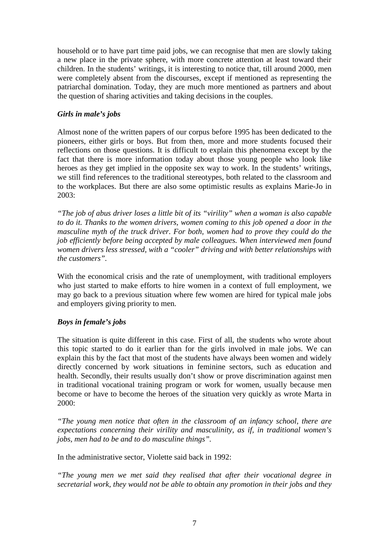household or to have part time paid jobs, we can recognise that men are slowly taking a new place in the private sphere, with more concrete attention at least toward their children. In the students' writings, it is interesting to notice that, till around 2000, men were completely absent from the discourses, except if mentioned as representing the patriarchal domination. Today, they are much more mentioned as partners and about the question of sharing activities and taking decisions in the couples.

# *Girls in male's jobs*

Almost none of the written papers of our corpus before 1995 has been dedicated to the pioneers, either girls or boys. But from then, more and more students focused their reflections on those questions. It is difficult to explain this phenomena except by the fact that there is more information today about those young people who look like heroes as they get implied in the opposite sex way to work. In the students' writings, we still find references to the traditional stereotypes, both related to the classroom and to the workplaces. But there are also some optimistic results as explains Marie-Jo in 2003:

*"The job of abus driver loses a little bit of its "virility" when a woman is also capable to do it. Thanks to the women drivers, women coming to this job opened a door in the masculine myth of the truck driver. For both, women had to prove they could do the job efficiently before being accepted by male colleagues. When interviewed men found women drivers less stressed, with a "cooler" driving and with better relationships with the customers".* 

With the economical crisis and the rate of unemployment, with traditional employers who just started to make efforts to hire women in a context of full employment, we may go back to a previous situation where few women are hired for typical male jobs and employers giving priority to men.

# *Boys in female's jobs*

The situation is quite different in this case. First of all, the students who wrote about this topic started to do it earlier than for the girls involved in male jobs. We can explain this by the fact that most of the students have always been women and widely directly concerned by work situations in feminine sectors, such as education and health. Secondly, their results usually don't show or prove discrimination against men in traditional vocational training program or work for women, usually because men become or have to become the heroes of the situation very quickly as wrote Marta in 2000:

*"The young men notice that often in the classroom of an infancy school, there are expectations concerning their virility and masculinity, as if, in traditional women's jobs, men had to be and to do masculine things".* 

In the administrative sector, Violette said back in 1992:

*"The young men we met said they realised that after their vocational degree in secretarial work, they would not be able to obtain any promotion in their jobs and they*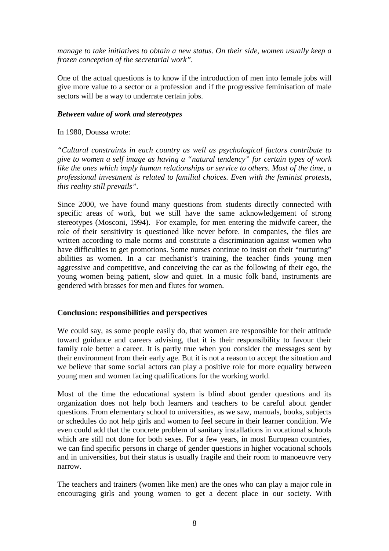*manage to take initiatives to obtain a new status. On their side, women usually keep a frozen conception of the secretarial work".*

One of the actual questions is to know if the introduction of men into female jobs will give more value to a sector or a profession and if the progressive feminisation of male sectors will be a way to underrate certain jobs.

### *Between value of work and stereotypes*

In 1980, Doussa wrote:

*"Cultural constraints in each country as well as psychological factors contribute to give to women a self image as having a "natural tendency" for certain types of work like the ones which imply human relationships or service to others. Most of the time, a professional investment is related to familial choices. Even with the feminist protests, this reality still prevails".* 

Since 2000, we have found many questions from students directly connected with specific areas of work, but we still have the same acknowledgement of strong stereotypes (Mosconi, 1994). For example, for men entering the midwife career, the role of their sensitivity is questioned like never before. In companies, the files are written according to male norms and constitute a discrimination against women who have difficulties to get promotions. Some nurses continue to insist on their "nurturing" abilities as women. In a car mechanist's training, the teacher finds young men aggressive and competitive, and conceiving the car as the following of their ego, the young women being patient, slow and quiet. In a music folk band, instruments are gendered with brasses for men and flutes for women.

# **Conclusion: responsibilities and perspectives**

We could say, as some people easily do, that women are responsible for their attitude toward guidance and careers advising, that it is their responsibility to favour their family role better a career. It is partly true when you consider the messages sent by their environment from their early age. But it is not a reason to accept the situation and we believe that some social actors can play a positive role for more equality between young men and women facing qualifications for the working world.

Most of the time the educational system is blind about gender questions and its organization does not help both learners and teachers to be careful about gender questions. From elementary school to universities, as we saw, manuals, books, subjects or schedules do not help girls and women to feel secure in their learner condition. We even could add that the concrete problem of sanitary installations in vocational schools which are still not done for both sexes. For a few years, in most European countries, we can find specific persons in charge of gender questions in higher vocational schools and in universities, but their status is usually fragile and their room to manoeuvre very narrow.

The teachers and trainers (women like men) are the ones who can play a major role in encouraging girls and young women to get a decent place in our society. With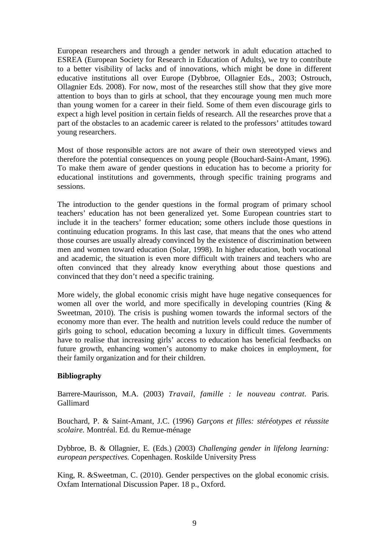European researchers and through a gender network in adult education attached to ESREA (European Society for Research in Education of Adults), we try to contribute to a better visibility of lacks and of innovations, which might be done in different educative institutions all over Europe (Dybbroe, Ollagnier Eds., 2003; Ostrouch, Ollagnier Eds. 2008). For now, most of the researches still show that they give more attention to boys than to girls at school, that they encourage young men much more than young women for a career in their field. Some of them even discourage girls to expect a high level position in certain fields of research. All the researches prove that a part of the obstacles to an academic career is related to the professors' attitudes toward young researchers.

Most of those responsible actors are not aware of their own stereotyped views and therefore the potential consequences on young people (Bouchard-Saint-Amant, 1996). To make them aware of gender questions in education has to become a priority for educational institutions and governments, through specific training programs and sessions.

The introduction to the gender questions in the formal program of primary school teachers' education has not been generalized yet. Some European countries start to include it in the teachers' former education; some others include those questions in continuing education programs. In this last case, that means that the ones who attend those courses are usually already convinced by the existence of discrimination between men and women toward education (Solar, 1998). In higher education, both vocational and academic, the situation is even more difficult with trainers and teachers who are often convinced that they already know everything about those questions and convinced that they don't need a specific training.

More widely, the global economic crisis might have huge negative consequences for women all over the world, and more specifically in developing countries (King & Sweetman, 2010). The crisis is pushing women towards the informal sectors of the economy more than ever. The health and nutrition levels could reduce the number of girls going to school, education becoming a luxury in difficult times. Governments have to realise that increasing girls' access to education has beneficial feedbacks on future growth, enhancing women's autonomy to make choices in employment, for their family organization and for their children.

# **Bibliography**

Barrere-Maurisson, M.A. (2003) *Travail, famille : le nouveau contrat.* Paris. Gallimard

Bouchard, P. & Saint-Amant, J.C. (1996) *Garçons et filles: stéréotypes et réussite scolaire.* Montréal. Ed. du Remue-ménage

Dybbroe, B. & Ollagnier, E. (Eds.) (2003) *Challenging gender in lifelong learning: european perspectives.* Copenhagen. Roskilde University Press

King, R. &Sweetman, C. (2010). Gender perspectives on the global economic crisis. Oxfam International Discussion Paper. 18 p., Oxford.